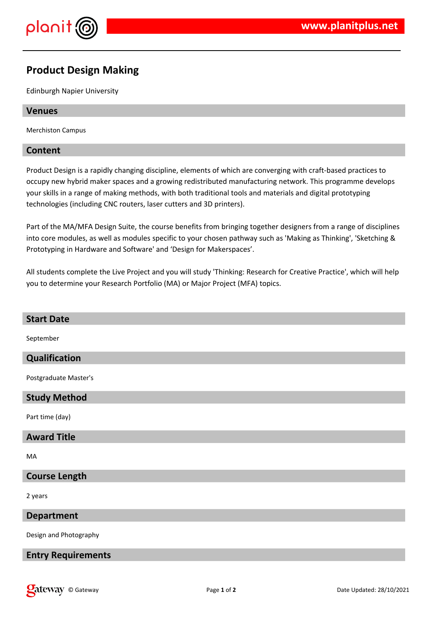

# **Product Design Making**

Edinburgh Napier University

### **Venues**

Merchiston Campus

## **Content**

Product Design is a rapidly changing discipline, elements of which are converging with craft-based practices to occupy new hybrid maker spaces and a growing redistributed manufacturing network. This programme develops your skills in a range of making methods, with both traditional tools and materials and digital prototyping technologies (including CNC routers, laser cutters and 3D printers).

Part of the MA/MFA Design Suite, the course benefits from bringing together designers from a range of disciplines into core modules, as well as modules specific to your chosen pathway such as 'Making as Thinking', 'Sketching & Prototyping in Hardware and Software' and 'Design for Makerspaces'.

All students complete the Live Project and you will study 'Thinking: Research for Creative Practice', which will help you to determine your Research Portfolio (MA) or Major Project (MFA) topics.

| <b>Start Date</b>         |
|---------------------------|
| September                 |
| Qualification             |
| Postgraduate Master's     |
| <b>Study Method</b>       |
| Part time (day)           |
| <b>Award Title</b>        |
| MA                        |
| <b>Course Length</b>      |
| 2 years                   |
| <b>Department</b>         |
| Design and Photography    |
| <b>Entry Requirements</b> |